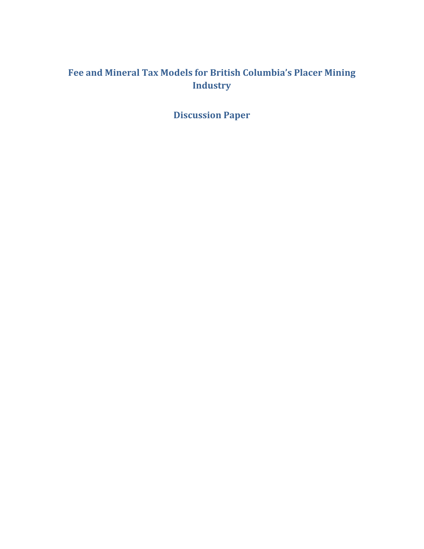# **Fee and Mineral Tax Models for British Columbia's Placer Mining Industry**

**Discussion Paper**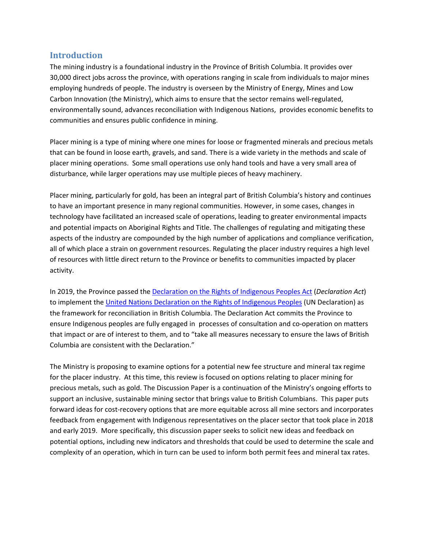### **Introduction**

The mining industry is a foundational industry in the Province of British Columbia. It provides over 30,000 direct jobs across the province, with operations ranging in scale from individuals to major mines employing hundreds of people. The industry is overseen by the Ministry of Energy, Mines and Low Carbon Innovation (the Ministry), which aims to ensure that the sector remains well-regulated, environmentally sound, advances reconciliation with Indigenous Nations, provides economic benefits to communities and ensures public confidence in mining.

Placer mining is a type of mining where one mines for loose or fragmented minerals and precious metals that can be found in loose earth, gravels, and sand. There is a wide variety in the methods and scale of placer mining operations. Some small operations use only hand tools and have a very small area of disturbance, while larger operations may use multiple pieces of heavy machinery.

Placer mining, particularly for gold, has been an integral part of British Columbia's history and continues to have an important presence in many regional communities. However, in some cases, changes in technology have facilitated an increased scale of operations, leading to greater environmental impacts and potential impacts on Aboriginal Rights and Title. The challenges of regulating and mitigating these aspects of the industry are compounded by the high number of applications and compliance verification, all of which place a strain on government resources. Regulating the placer industry requires a high level of resources with little direct return to the Province or benefits to communities impacted by placer activity.

In 2019, the Province passed the [Declaration on the Rights of Indigenous Peoples Act](https://www.leg.bc.ca/parliamentary-business/legislation-debates-proceedings/41st-parliament/4th-session/bills/first-reading/gov41-1) (*Declaration Act*) to implement th[e United Nations Declaration on the Rights of Indigenous Peoples](https://www.un.org/development/desa/indigenouspeoples/wp-content/uploads/sites/19/2018/11/UNDRIP_E_web.pdf) (UN Declaration) as the framework for reconciliation in British Columbia. The Declaration Act commits the Province to ensure Indigenous peoples are fully engaged in processes of consultation and co-operation on matters that impact or are of interest to them, and to "take all measures necessary to ensure the laws of British Columbia are consistent with the Declaration."

The Ministry is proposing to examine options for a potential new fee structure and mineral tax regime for the placer industry. At this time, this review is focused on options relating to placer mining for precious metals, such as gold. The Discussion Paper is a continuation of the Ministry's ongoing efforts to support an inclusive, sustainable mining sector that brings value to British Columbians. This paper puts forward ideas for cost-recovery options that are more equitable across all mine sectors and incorporates feedback from engagement with Indigenous representatives on the placer sector that took place in 2018 and early 2019. More specifically, this discussion paper seeks to solicit new ideas and feedback on potential options, including new indicators and thresholds that could be used to determine the scale and complexity of an operation, which in turn can be used to inform both permit fees and mineral tax rates.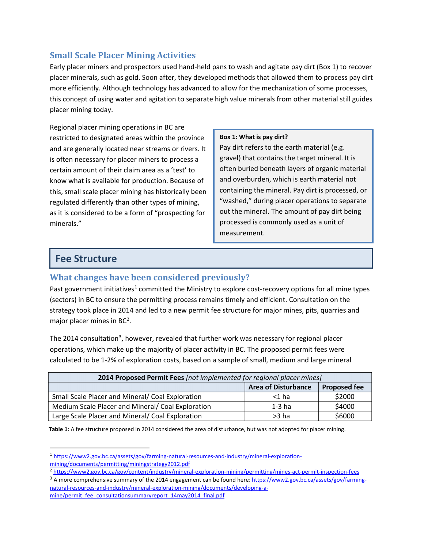## **Small Scale Placer Mining Activities**

Early placer miners and prospectors used hand-held pans to wash and agitate pay dirt (Box 1) to recover placer minerals, such as gold. Soon after, they developed methods that allowed them to process pay dirt more efficiently. Although technology has advanced to allow for the mechanization of some processes, this concept of using water and agitation to separate high value minerals from other material still guides placer mining today.

Regional placer mining operations in BC are restricted to designated areas within the province and are generally located near streams or rivers. It is often necessary for placer miners to process a certain amount of their claim area as a 'test' to know what is available for production. Because of this, small scale placer mining has historically been regulated differently than other types of mining, as it is considered to be a form of "prospecting for minerals."

#### **Box 1: What is pay dirt?**

Pay dirt refers to the earth material (e.g. gravel) that contains the target mineral. It is often buried beneath layers of organic material and overburden, which is earth material not containing the mineral. Pay dirt is processed, or "washed," during placer operations to separate out the mineral. The amount of pay dirt being processed is commonly used as a unit of measurement.

## **Fee Structure**

## **What changes have been considered previously?**

Past government initiatives<sup>[1](#page-2-0)</sup> committed the Ministry to explore cost-recovery options for all mine types (sectors) in BC to ensure the permitting process remains timely and efficient. Consultation on the strategy took place in 2014 and led to a new permit fee structure for major mines, pits, quarries and major placer mines in  $BC<sup>2</sup>$  $BC<sup>2</sup>$  $BC<sup>2</sup>$ .

The 2014 consultation<sup>[3](#page-2-2)</sup>, however, revealed that further work was necessary for regional placer operations, which make up the majority of placer activity in BC. The proposed permit fees were calculated to be 1-2% of exploration costs, based on a sample of small, medium and large mineral

| 2014 Proposed Permit Fees [not implemented for regional placer mines] |        |        |  |
|-----------------------------------------------------------------------|--------|--------|--|
| <b>Area of Disturbance</b><br><b>Proposed fee</b>                     |        |        |  |
| Small Scale Placer and Mineral/ Coal Exploration                      | <1 ha  | \$2000 |  |
| Medium Scale Placer and Mineral/Coal Exploration                      | 1-3 ha | \$4000 |  |
| Large Scale Placer and Mineral/ Coal Exploration                      | >3 ha  | \$6000 |  |

**Table 1:** A fee structure proposed in 2014 considered the area of disturbance, but was not adopted for placer mining.

<span id="page-2-0"></span><sup>1</sup> [https://www2.gov.bc.ca/assets/gov/farming-natural-resources-and-industry/mineral-exploration](https://www2.gov.bc.ca/assets/gov/farming-natural-resources-and-industry/mineral-exploration-mining/documents/permitting/miningstrategy2012.pdf)[mining/documents/permitting/miningstrategy2012.pdf](https://www2.gov.bc.ca/assets/gov/farming-natural-resources-and-industry/mineral-exploration-mining/documents/permitting/miningstrategy2012.pdf)

<span id="page-2-1"></span><sup>&</sup>lt;sup>2</sup> <https://www2.gov.bc.ca/gov/content/industry/mineral-exploration-mining/permitting/mines-act-permit-inspection-fees>

<span id="page-2-2"></span><sup>&</sup>lt;sup>3</sup> A more comprehensive summary of the 2014 engagement can be found here: [https://www2.gov.bc.ca/assets/gov/farming](https://www2.gov.bc.ca/assets/gov/farming-natural-resources-and-industry/mineral-exploration-mining/documents/developing-a-mine/permit_fee_consultationsummaryreport_14may2014_final.pdf)[natural-resources-and-industry/mineral-exploration-mining/documents/developing-a](https://www2.gov.bc.ca/assets/gov/farming-natural-resources-and-industry/mineral-exploration-mining/documents/developing-a-mine/permit_fee_consultationsummaryreport_14may2014_final.pdf)[mine/permit\\_fee\\_consultationsummaryreport\\_14may2014\\_final.pdf](https://www2.gov.bc.ca/assets/gov/farming-natural-resources-and-industry/mineral-exploration-mining/documents/developing-a-mine/permit_fee_consultationsummaryreport_14may2014_final.pdf)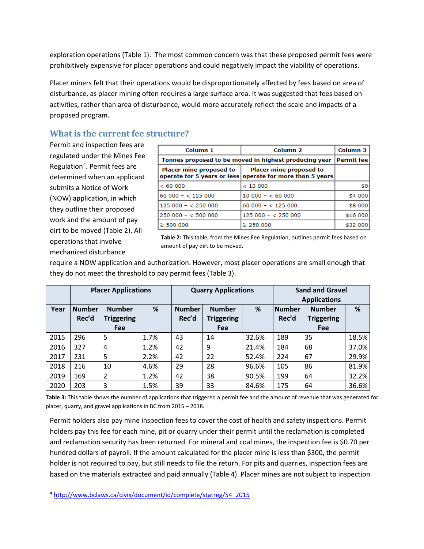exploration operations (Table 1). The most common concern was that these proposed permit fees were prohibitively expensive for placer operations and could negatively impact the viability of operations.

Placer miners felt that their operations would be disproportionately affected by fees based on area of disturbance, as placer mining often requires a large surface area. It was suggested that fees based on activities, rather than area of disturbance, would more accurately reflect the scale and impacts of a proposed program.

## **What is the current fee structure?**

Permit and inspection fees are regulated under the Mines Fee Regulation<sup>[4](#page-3-0)</sup>. Permit fees are determined when an applicant submits a Notice of Work (NOW) application, in which they outline their proposed work and the amount of pay dirt to be moved (Table 2). All operations that involve mechanized disturbance

| Column 1                                              | Column <sub>2</sub>                                                                  | Column 3          |
|-------------------------------------------------------|--------------------------------------------------------------------------------------|-------------------|
| Tonnes proposed to be moved in highest producing year |                                                                                      | <b>Permit fee</b> |
| Placer mine proposed to                               | Placer mine proposed to<br>operate for 5 years or less operate for more than 5 years |                   |
| < 60000                                               | < 10000                                                                              | \$0               |
| $60000 - 125000$                                      | $10000 - 6000$                                                                       | \$4 000           |
| $125000 - 25000$                                      | $60000 - 125000$                                                                     | \$8 000           |
| $250000 - 50000$                                      | $125000 - 25000$                                                                     | \$16 000          |
| $\geq$ 500 000                                        | $\geq 250000$                                                                        | \$32 000          |

**Table 2:** This table, from the Mines Fee Regulation, outlines permit fees based on amount of pay dirt to be moved.

require a NOW application and authorization. However, most placer operations are small enough that they do not meet the threshold to pay permit fees (Table 3).

|      |                        | <b>Placer Applications</b>         |      | <b>Quarry Applications</b> |                                    |       | <b>Sand and Gravel</b><br><b>Applications</b> |                                    |       |
|------|------------------------|------------------------------------|------|----------------------------|------------------------------------|-------|-----------------------------------------------|------------------------------------|-------|
| Year | <b>Number</b><br>Rec'd | <b>Number</b><br><b>Triggering</b> | %    | <b>Number</b><br>Rec'd     | <b>Number</b><br><b>Triggering</b> | %     | <b>Number</b><br>Rec'd                        | <b>Number</b><br><b>Triggering</b> | %     |
|      |                        | <b>Fee</b>                         |      |                            | <b>Fee</b>                         |       |                                               | Fee                                |       |
| 2015 | 296                    | 5                                  | 1.7% | 43                         | 14                                 | 32.6% | 189                                           | 35                                 | 18.5% |
| 2016 | 327                    | 4                                  | 1.2% | 42                         | 9                                  | 21.4% | 184                                           | 68                                 | 37.0% |
| 2017 | 231                    | 5                                  | 2.2% | 42                         | 22                                 | 52.4% | 224                                           | 67                                 | 29.9% |
| 2018 | 216                    | 10                                 | 4.6% | 29                         | 28                                 | 96.6% | 105                                           | 86                                 | 81.9% |
| 2019 | 169                    | $\overline{2}$                     | 1.2% | 42                         | 38                                 | 90.5% | 199                                           | 64                                 | 32.2% |
| 2020 | 203                    | 3                                  | 1.5% | 39                         | 33                                 | 84.6% | 175                                           | 64                                 | 36.6% |

**Table 3:** This table shows the number of applications that triggered a permit fee and the amount of revenue that was generated for placer, quarry, and gravel applications in BC from 2015 – 2018.

Permit holders also pay mine inspection fees to cover the cost of health and safety inspections. Permit holders pay this fee for each mine, pit or quarry under their permit until the reclamation is completed and reclamation security has been returned. For mineral and coal mines, the inspection fee is \$0.70 per hundred dollars of payroll. If the amount calculated for the placer mine is less than \$300, the permit holder is not required to pay, but still needs to file the return. For pits and quarries, inspection fees are based on the materials extracted and paid annually (Table 4). Placer mines are not subject to inspection

<span id="page-3-0"></span><sup>4</sup> [http://www.bclaws.ca/civix/document/id/complete/statreg/54\\_2015](http://www.bclaws.ca/civix/document/id/complete/statreg/54_2015)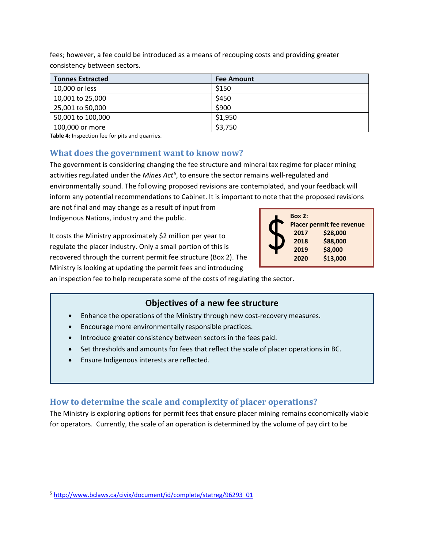| <b>Tonnes Extracted</b> | <b>Fee Amount</b> |
|-------------------------|-------------------|
| 10,000 or less          | \$150             |
| 10,001 to 25,000        | \$450             |
| 25,001 to 50,000        | \$900             |
| 50,001 to 100,000       | \$1,950           |
| 100,000 or more         | \$3,750           |

fees; however, a fee could be introduced as a means of recouping costs and providing greater consistency between sectors.

**Table 4:** Inspection fee for pits and quarries.

### **What does the government want to know now?**

The government is considering changing the fee structure and mineral tax regime for placer mining activities regulated under the *Mines Act[5](#page-4-0)* , to ensure the sector remains well-regulated and environmentally sound. The following proposed revisions are contemplated, and your feedback will inform any potential recommendations to Cabinet. It is important to note that the proposed revisions

are not final and may change as a result of input from Indigenous Nations, industry and the public.

It costs the Ministry approximately \$2 million per year to regulate the placer industry. Only a small portion of this is recovered through the current permit fee structure (Box 2). The Ministry is looking at updating the permit fees and introducing



an inspection fee to help recuperate some of the costs of regulating the sector.

### **Objectives of a new fee structure**

- Enhance the operations of the Ministry through new cost-recovery measures.
- Encourage more environmentally responsible practices.
- Introduce greater consistency between sectors in the fees paid.
- Set thresholds and amounts for fees that reflect the scale of placer operations in BC.
- Ensure Indigenous interests are reflected.

### **How to determine the scale and complexity of placer operations?**

The Ministry is exploring options for permit fees that ensure placer mining remains economically viable for operators. Currently, the scale of an operation is determined by the volume of pay dirt to be

<span id="page-4-0"></span><sup>5</sup> [http://www.bclaws.ca/civix/document/id/complete/statreg/96293\\_01](http://www.bclaws.ca/civix/document/id/complete/statreg/96293_01)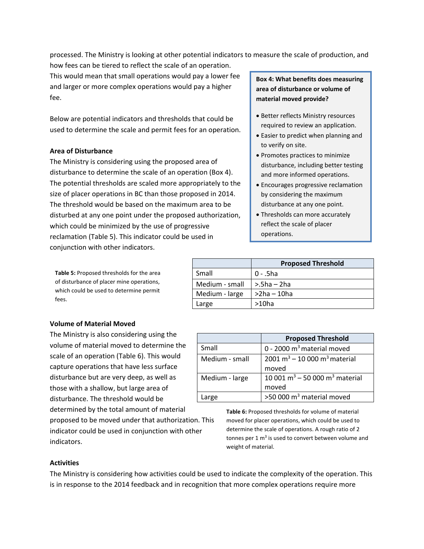processed. The Ministry is looking at other potential indicators to measure the scale of production, and

how fees can be tiered to reflect the scale of an operation. This would mean that small operations would pay a lower fee and larger or more complex operations would pay a higher fee.

Below are potential indicators and thresholds that could be used to determine the scale and permit fees for an operation.

### **Area of Disturbance**

The Ministry is considering using the proposed area of disturbance to determine the scale of an operation (Box 4). The potential thresholds are scaled more appropriately to the size of placer operations in BC than those proposed in 2014. The threshold would be based on the maximum area to be disturbed at any one point under the proposed authorization, which could be minimized by the use of progressive reclamation (Table 5). This indicator could be used in conjunction with other indicators.

**Table 5:** Proposed thresholds for the area of disturbance of placer mine operations, which could be used to determine permit fees.

#### **Volume of Material Moved**

The Ministry is also considering using the volume of material moved to determine the scale of an operation (Table 6). This would capture operations that have less surface disturbance but are very deep, as well as those with a shallow, but large area of disturbance. The threshold would be determined by the total amount of material

proposed to be moved under that authorization. This indicator could be used in conjunction with other indicators.

### **Box 4: What benefits does measuring area of disturbance or volume of material moved provide?**

- Better reflects Ministry resources required to review an application.
- Easier to predict when planning and to verify on site.
- Promotes practices to minimize disturbance, including better testing and more informed operations.
- Encourages progressive reclamation by considering the maximum disturbance at any one point.
- Thresholds can more accurately reflect the scale of placer operations.

|                | <b>Proposed Threshold</b> |
|----------------|---------------------------|
| Small          | $0 - .5$ ha               |
| Medium - small | $> 5ha - 2ha$             |
| Medium - large | $>2$ ha – 10ha            |
| Large          | $>10$ ha                  |

|                | <b>Proposed Threshold</b>                            |
|----------------|------------------------------------------------------|
| Small          | 0 - 2000 $m3$ material moved                         |
| Medium - small | 2001 m <sup>3</sup> – 10 000 m <sup>3</sup> material |
|                | moved                                                |
| Medium - large | 10 001 $m^3$ – 50 000 $m^3$ material                 |
|                | moved                                                |
| Large          | >50 000 m <sup>3</sup> material moved                |

**Table 6:** Proposed thresholds for volume of material moved for placer operations, which could be used to determine the scale of operations. A rough ratio of 2 tonnes per  $1 \text{ m}^3$  is used to convert between volume and weight of material.

#### **Activities**

The Ministry is considering how activities could be used to indicate the complexity of the operation. This is in response to the 2014 feedback and in recognition that more complex operations require more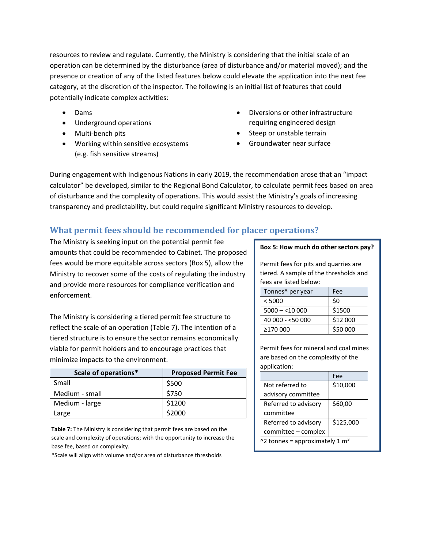resources to review and regulate. Currently, the Ministry is considering that the initial scale of an operation can be determined by the disturbance (area of disturbance and/or material moved); and the presence or creation of any of the listed features below could elevate the application into the next fee category, at the discretion of the inspector. The following is an initial list of features that could potentially indicate complex activities:

- Dams
- Underground operations
- Multi-bench pits
- Working within sensitive ecosystems (e.g. fish sensitive streams)
- Diversions or other infrastructure requiring engineered design
- Steep or unstable terrain
- Groundwater near surface

During engagement with Indigenous Nations in early 2019, the recommendation arose that an "impact calculator" be developed, similar to the Regional Bond Calculator, to calculate permit fees based on area of disturbance and the complexity of operations. This would assist the Ministry's goals of increasing transparency and predictability, but could require significant Ministry resources to develop.

## **What permit fees should be recommended for placer operations?**

The Ministry is seeking input on the potential permit fee amounts that could be recommended to Cabinet. The proposed fees would be more equitable across sectors (Box 5), allow the Ministry to recover some of the costs of regulating the industry and provide more resources for compliance verification and enforcement.

The Ministry is considering a tiered permit fee structure to reflect the scale of an operation (Table 7). The intention of a tiered structure is to ensure the sector remains economically viable for permit holders and to encourage practices that minimize impacts to the environment.

| Scale of operations* | <b>Proposed Permit Fee</b> |
|----------------------|----------------------------|
| Small                | \$500                      |
| Medium - small       | \$750                      |
| Medium - large       | \$1200                     |
| Large                | \$2000                     |

**Table 7:** The Ministry is considering that permit fees are based on the scale and complexity of operations; with the opportunity to increase the base fee, based on complexity.

\*Scale will align with volume and/or area of disturbance thresholds

#### **Box 5: How much do other sectors pay?**

Permit fees for pits and quarries are tiered. A sample of the thresholds and fees are listed below:

| Tonnes^ per year | Fee      |
|------------------|----------|
| < 5000           | \$0      |
| $5000 - 10000$   | \$1500   |
| 40 000 - <50 000 | \$12 000 |
| ≥170 000         | \$50 000 |

Permit fees for mineral and coal mines are based on the complexity of the application:

|                                            | Fee       |  |
|--------------------------------------------|-----------|--|
| Not referred to                            | \$10,000  |  |
| advisory committee                         |           |  |
| Referred to advisory                       | \$60,00   |  |
| committee                                  |           |  |
| Referred to advisory                       | \$125,000 |  |
| committee - complex                        |           |  |
| ^2 tonnes = approximately 1 m <sup>3</sup> |           |  |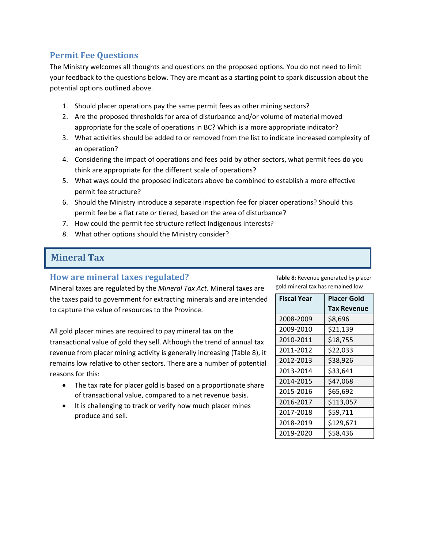## **Permit Fee Questions**

The Ministry welcomes all thoughts and questions on the proposed options. You do not need to limit your feedback to the questions below. They are meant as a starting point to spark discussion about the potential options outlined above.

- 1. Should placer operations pay the same permit fees as other mining sectors?
- 2. Are the proposed thresholds for area of disturbance and/or volume of material moved appropriate for the scale of operations in BC? Which is a more appropriate indicator?
- 3. What activities should be added to or removed from the list to indicate increased complexity of an operation?
- 4. Considering the impact of operations and fees paid by other sectors, what permit fees do you think are appropriate for the different scale of operations?
- 5. What ways could the proposed indicators above be combined to establish a more effective permit fee structure?
- 6. Should the Ministry introduce a separate inspection fee for placer operations? Should this permit fee be a flat rate or tiered, based on the area of disturbance?
- 7. How could the permit fee structure reflect Indigenous interests?
- 8. What other options should the Ministry consider?

## **Mineral Tax**

### **How are mineral taxes regulated?**

Mineral taxes are regulated by the *Mineral Tax Act*. Mineral taxes are the taxes paid to government for extracting minerals and are intended to capture the value of resources to the Province.

All gold placer mines are required to pay mineral tax on the transactional value of gold they sell. Although the trend of annual tax revenue from placer mining activity is generally increasing (Table 8), it remains low relative to other sectors. There are a number of potential reasons for this:

- The tax rate for placer gold is based on a proportionate share of transactional value, compared to a net revenue basis.
- It is challenging to track or verify how much placer mines produce and sell.

**Table 8:** Revenue generated by placer gold mineral tax has remained low

| <b>Fiscal Year</b> | <b>Placer Gold</b> |
|--------------------|--------------------|
|                    | Tax Revenue        |
| 2008-2009          | \$8,696            |
| 2009-2010          | \$21,139           |
| 2010-2011          | \$18,755           |
| 2011-2012          | \$22,033           |
| 2012-2013          | \$38,926           |
| 2013-2014          | \$33,641           |
| 2014-2015          | \$47,068           |
| 2015-2016          | \$65,692           |
| 2016-2017          | \$113,057          |
| 2017-2018          | \$59,711           |
| 2018-2019          | \$129,671          |
| 2019-2020          | \$58,436           |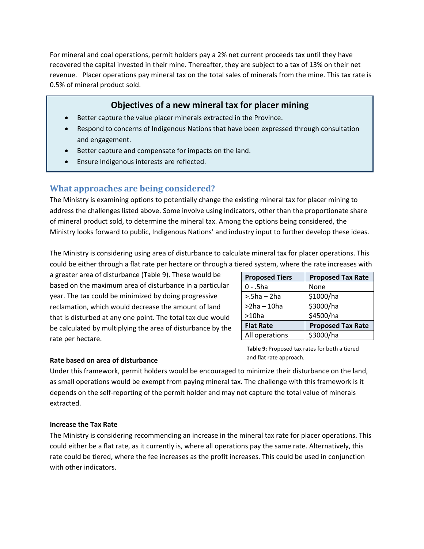For mineral and coal operations, permit holders pay a 2% net current proceeds tax until they have recovered the capital invested in their mine. Thereafter, they are subject to a tax of 13% on their net revenue. Placer operations pay mineral tax on the total sales of minerals from the mine. This tax rate is 0.5% of mineral product sold.

### **Objectives of a new mineral tax for placer mining**

- Better capture the value placer minerals extracted in the Province.
- Respond to concerns of Indigenous Nations that have been expressed through consultation and engagement.
- Better capture and compensate for impacts on the land.
- Ensure Indigenous interests are reflected.

## **What approaches are being considered?**

The Ministry is examining options to potentially change the existing mineral tax for placer mining to address the challenges listed above. Some involve using indicators, other than the proportionate share of mineral product sold, to determine the mineral tax. Among the options being considered, the Ministry looks forward to public, Indigenous Nations' and industry input to further develop these ideas.

The Ministry is considering using area of disturbance to calculate mineral tax for placer operations. This could be either through a flat rate per hectare or through a tiered system, where the rate increases with

a greater area of disturbance (Table 9). These would be based on the maximum area of disturbance in a particular year. The tax could be minimized by doing progressive reclamation, which would decrease the amount of land that is disturbed at any one point. The total tax due would be calculated by multiplying the area of disturbance by the rate per hectare.

| <b>Proposed Tiers</b> | <b>Proposed Tax Rate</b> |
|-----------------------|--------------------------|
| 0 - .5ha              | None                     |
| $> 5ha - 2ha$         | \$1000/ha                |
| >2ha – 10ha           | \$3000/ha                |
| $>10$ ha              | \$4500/ha                |
| <b>Flat Rate</b>      | <b>Proposed Tax Rate</b> |
| All operations        | \$3000/ha                |

### **Rate based on area of disturbance**

**Table 9:** Proposed tax rates for both a tiered and flat rate approach.

Under this framework, permit holders would be encouraged to minimize their disturbance on the land, as small operations would be exempt from paying mineral tax. The challenge with this framework is it depends on the self-reporting of the permit holder and may not capture the total value of minerals extracted.

### **Increase the Tax Rate**

The Ministry is considering recommending an increase in the mineral tax rate for placer operations. This could either be a flat rate, as it currently is, where all operations pay the same rate. Alternatively, this rate could be tiered, where the fee increases as the profit increases. This could be used in conjunction with other indicators.